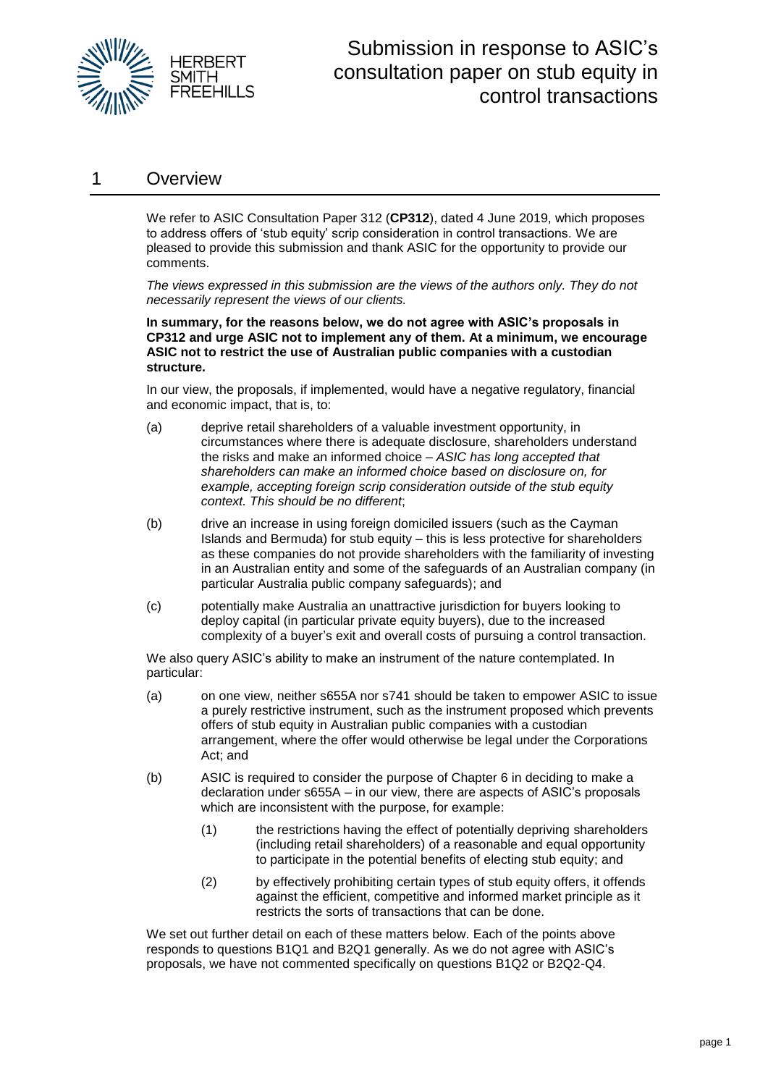

#### 1 Overview

We refer to ASIC Consultation Paper 312 (**CP312**), dated 4 June 2019, which proposes to address offers of 'stub equity' scrip consideration in control transactions. We are pleased to provide this submission and thank ASIC for the opportunity to provide our comments.

*The views expressed in this submission are the views of the authors only. They do not necessarily represent the views of our clients.* 

**In summary, for the reasons below, we do not agree with ASIC's proposals in CP312 and urge ASIC not to implement any of them. At a minimum, we encourage ASIC not to restrict the use of Australian public companies with a custodian structure.** 

In our view, the proposals, if implemented, would have a negative regulatory, financial and economic impact, that is, to:

- (a) deprive retail shareholders of a valuable investment opportunity, in circumstances where there is adequate disclosure, shareholders understand the risks and make an informed choice – *ASIC has long accepted that shareholders can make an informed choice based on disclosure on, for example, accepting foreign scrip consideration outside of the stub equity context. This should be no different*;
- (b) drive an increase in using foreign domiciled issuers (such as the Cayman Islands and Bermuda) for stub equity – this is less protective for shareholders as these companies do not provide shareholders with the familiarity of investing in an Australian entity and some of the safeguards of an Australian company (in particular Australia public company safeguards); and
- (c) potentially make Australia an unattractive jurisdiction for buyers looking to deploy capital (in particular private equity buyers), due to the increased complexity of a buyer's exit and overall costs of pursuing a control transaction.

We also query ASIC's ability to make an instrument of the nature contemplated. In particular:

- (a) on one view, neither s655A nor s741 should be taken to empower ASIC to issue a purely restrictive instrument, such as the instrument proposed which prevents offers of stub equity in Australian public companies with a custodian arrangement, where the offer would otherwise be legal under the Corporations Act; and
- (b) ASIC is required to consider the purpose of Chapter 6 in deciding to make a declaration under s655A – in our view, there are aspects of ASIC's proposals which are inconsistent with the purpose, for example:
	- (1) the restrictions having the effect of potentially depriving shareholders (including retail shareholders) of a reasonable and equal opportunity to participate in the potential benefits of electing stub equity; and
	- (2) by effectively prohibiting certain types of stub equity offers, it offends against the efficient, competitive and informed market principle as it restricts the sorts of transactions that can be done.

We set out further detail on each of these matters below. Each of the points above responds to questions B1Q1 and B2Q1 generally. As we do not agree with ASIC's proposals, we have not commented specifically on questions B1Q2 or B2Q2-Q4.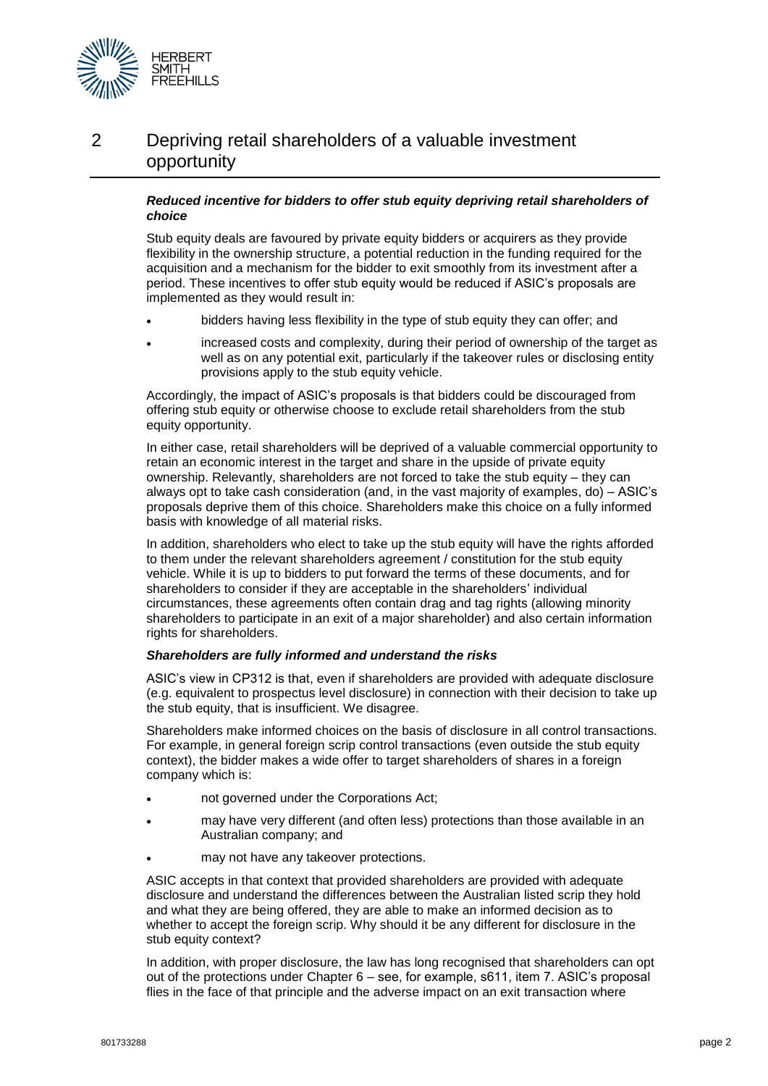

### 2 Depriving retail shareholders of a valuable investment opportunity

#### *Reduced incentive for bidders to offer stub equity depriving retail shareholders of choice*

Stub equity deals are favoured by private equity bidders or acquirers as they provide flexibility in the ownership structure, a potential reduction in the funding required for the acquisition and a mechanism for the bidder to exit smoothly from its investment after a period. These incentives to offer stub equity would be reduced if ASIC's proposals are implemented as they would result in:

- bidders having less flexibility in the type of stub equity they can offer; and
- increased costs and complexity, during their period of ownership of the target as well as on any potential exit, particularly if the takeover rules or disclosing entity provisions apply to the stub equity vehicle.

Accordingly, the impact of ASIC's proposals is that bidders could be discouraged from offering stub equity or otherwise choose to exclude retail shareholders from the stub equity opportunity.

In either case, retail shareholders will be deprived of a valuable commercial opportunity to retain an economic interest in the target and share in the upside of private equity ownership. Relevantly, shareholders are not forced to take the stub equity – they can always opt to take cash consideration (and, in the vast majority of examples, do) – ASIC's proposals deprive them of this choice. Shareholders make this choice on a fully informed basis with knowledge of all material risks.

In addition, shareholders who elect to take up the stub equity will have the rights afforded to them under the relevant shareholders agreement / constitution for the stub equity vehicle. While it is up to bidders to put forward the terms of these documents, and for shareholders to consider if they are acceptable in the shareholders' individual circumstances, these agreements often contain drag and tag rights (allowing minority shareholders to participate in an exit of a major shareholder) and also certain information rights for shareholders.

#### *Shareholders are fully informed and understand the risks*

ASIC's view in CP312 is that, even if shareholders are provided with adequate disclosure (e.g. equivalent to prospectus level disclosure) in connection with their decision to take up the stub equity, that is insufficient. We disagree.

Shareholders make informed choices on the basis of disclosure in all control transactions. For example, in general foreign scrip control transactions (even outside the stub equity context), the bidder makes a wide offer to target shareholders of shares in a foreign company which is:

- not governed under the Corporations Act;
- may have very different (and often less) protections than those available in an Australian company; and
- may not have any takeover protections.

ASIC accepts in that context that provided shareholders are provided with adequate disclosure and understand the differences between the Australian listed scrip they hold and what they are being offered, they are able to make an informed decision as to whether to accept the foreign scrip. Why should it be any different for disclosure in the stub equity context?

In addition, with proper disclosure, the law has long recognised that shareholders can opt out of the protections under Chapter 6 – see, for example, s611, item 7. ASIC's proposal flies in the face of that principle and the adverse impact on an exit transaction where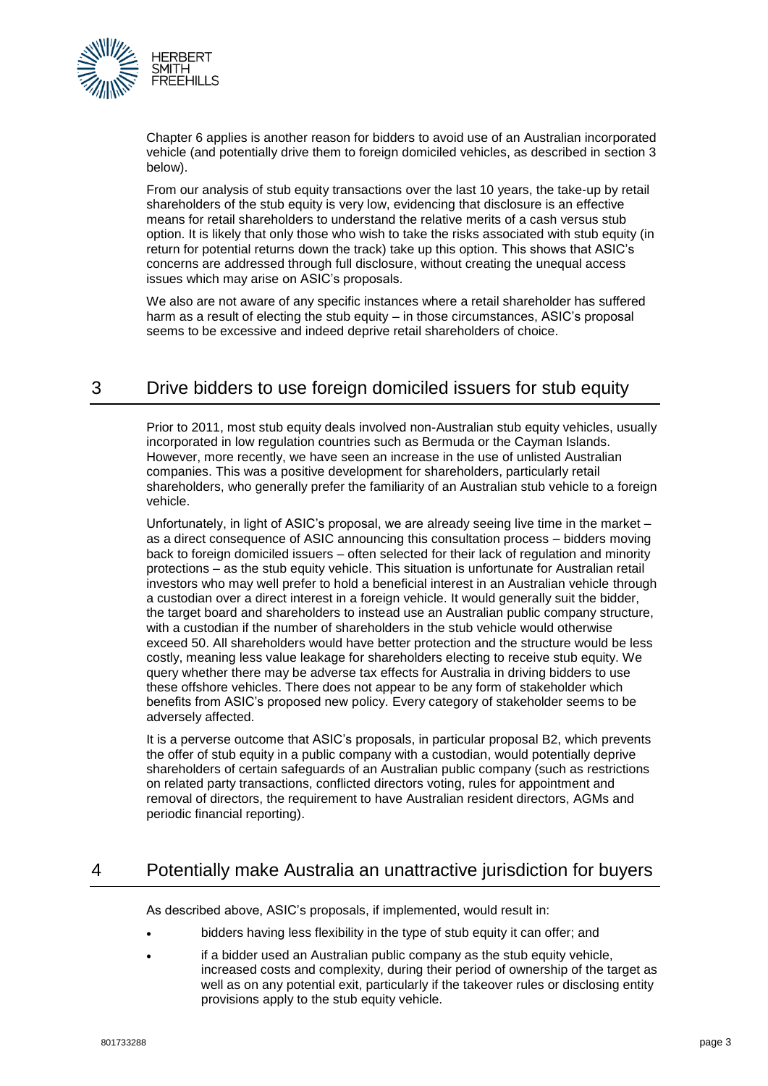

Chapter 6 applies is another reason for bidders to avoid use of an Australian incorporated vehicle (and potentially drive them to foreign domiciled vehicles, as described in section 3 below).

From our analysis of stub equity transactions over the last 10 years, the take-up by retail shareholders of the stub equity is very low, evidencing that disclosure is an effective means for retail shareholders to understand the relative merits of a cash versus stub option. It is likely that only those who wish to take the risks associated with stub equity (in return for potential returns down the track) take up this option. This shows that ASIC's concerns are addressed through full disclosure, without creating the unequal access issues which may arise on ASIC's proposals.

We also are not aware of any specific instances where a retail shareholder has suffered harm as a result of electing the stub equity – in those circumstances, ASIC's proposal seems to be excessive and indeed deprive retail shareholders of choice.

## 3 Drive bidders to use foreign domiciled issuers for stub equity

Prior to 2011, most stub equity deals involved non-Australian stub equity vehicles, usually incorporated in low regulation countries such as Bermuda or the Cayman Islands. However, more recently, we have seen an increase in the use of unlisted Australian companies. This was a positive development for shareholders, particularly retail shareholders, who generally prefer the familiarity of an Australian stub vehicle to a foreign vehicle.

Unfortunately, in light of ASIC's proposal, we are already seeing live time in the market – as a direct consequence of ASIC announcing this consultation process – bidders moving back to foreign domiciled issuers – often selected for their lack of regulation and minority protections – as the stub equity vehicle. This situation is unfortunate for Australian retail investors who may well prefer to hold a beneficial interest in an Australian vehicle through a custodian over a direct interest in a foreign vehicle. It would generally suit the bidder, the target board and shareholders to instead use an Australian public company structure, with a custodian if the number of shareholders in the stub vehicle would otherwise exceed 50. All shareholders would have better protection and the structure would be less costly, meaning less value leakage for shareholders electing to receive stub equity. We query whether there may be adverse tax effects for Australia in driving bidders to use these offshore vehicles. There does not appear to be any form of stakeholder which benefits from ASIC's proposed new policy. Every category of stakeholder seems to be adversely affected.

It is a perverse outcome that ASIC's proposals, in particular proposal B2, which prevents the offer of stub equity in a public company with a custodian, would potentially deprive shareholders of certain safeguards of an Australian public company (such as restrictions on related party transactions, conflicted directors voting, rules for appointment and removal of directors, the requirement to have Australian resident directors, AGMs and periodic financial reporting).

# 4 Potentially make Australia an unattractive jurisdiction for buyers

As described above, ASIC's proposals, if implemented, would result in:

- bidders having less flexibility in the type of stub equity it can offer; and
- if a bidder used an Australian public company as the stub equity vehicle, increased costs and complexity, during their period of ownership of the target as well as on any potential exit, particularly if the takeover rules or disclosing entity provisions apply to the stub equity vehicle.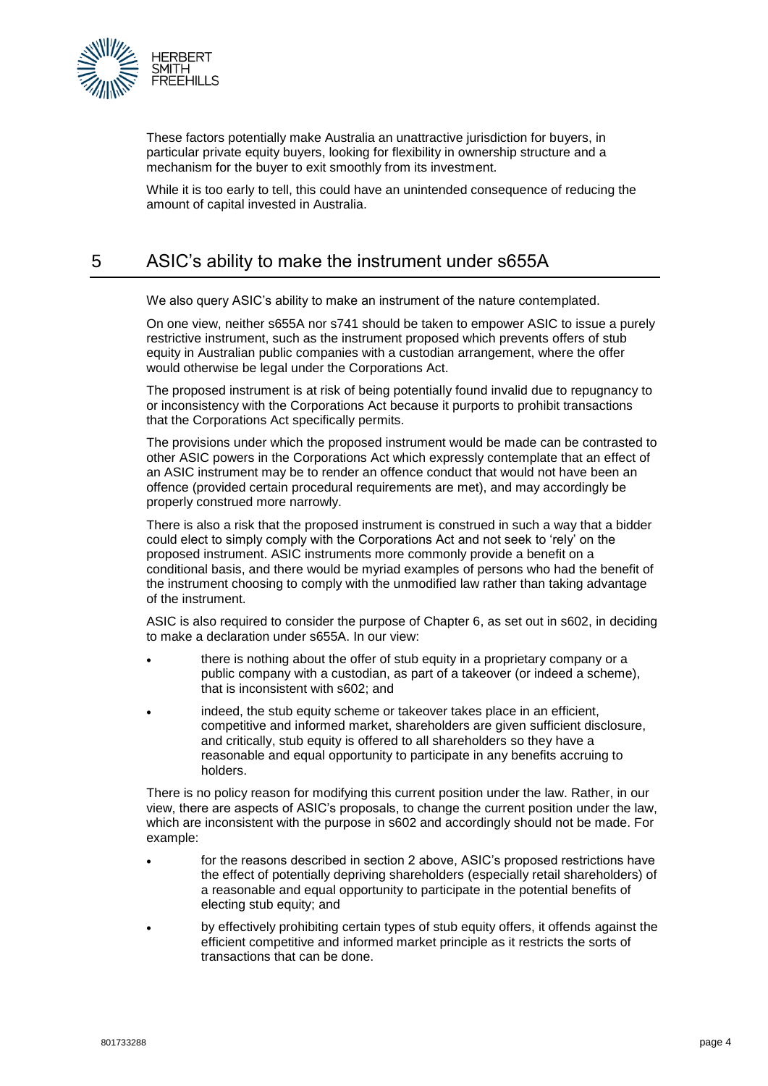

These factors potentially make Australia an unattractive jurisdiction for buyers, in particular private equity buyers, looking for flexibility in ownership structure and a mechanism for the buyer to exit smoothly from its investment.

While it is too early to tell, this could have an unintended consequence of reducing the amount of capital invested in Australia.

## 5 ASIC's ability to make the instrument under s655A

We also query ASIC's ability to make an instrument of the nature contemplated.

On one view, neither s655A nor s741 should be taken to empower ASIC to issue a purely restrictive instrument, such as the instrument proposed which prevents offers of stub equity in Australian public companies with a custodian arrangement, where the offer would otherwise be legal under the Corporations Act.

The proposed instrument is at risk of being potentially found invalid due to repugnancy to or inconsistency with the Corporations Act because it purports to prohibit transactions that the Corporations Act specifically permits.

The provisions under which the proposed instrument would be made can be contrasted to other ASIC powers in the Corporations Act which expressly contemplate that an effect of an ASIC instrument may be to render an offence conduct that would not have been an offence (provided certain procedural requirements are met), and may accordingly be properly construed more narrowly.

There is also a risk that the proposed instrument is construed in such a way that a bidder could elect to simply comply with the Corporations Act and not seek to 'rely' on the proposed instrument. ASIC instruments more commonly provide a benefit on a conditional basis, and there would be myriad examples of persons who had the benefit of the instrument choosing to comply with the unmodified law rather than taking advantage of the instrument.

ASIC is also required to consider the purpose of Chapter 6, as set out in s602, in deciding to make a declaration under s655A. In our view:

- there is nothing about the offer of stub equity in a proprietary company or a public company with a custodian, as part of a takeover (or indeed a scheme), that is inconsistent with s602; and
- indeed, the stub equity scheme or takeover takes place in an efficient, competitive and informed market, shareholders are given sufficient disclosure, and critically, stub equity is offered to all shareholders so they have a reasonable and equal opportunity to participate in any benefits accruing to holders.

There is no policy reason for modifying this current position under the law. Rather, in our view, there are aspects of ASIC's proposals, to change the current position under the law, which are inconsistent with the purpose in s602 and accordingly should not be made. For example:

- for the reasons described in section 2 above, ASIC's proposed restrictions have the effect of potentially depriving shareholders (especially retail shareholders) of a reasonable and equal opportunity to participate in the potential benefits of electing stub equity; and
- by effectively prohibiting certain types of stub equity offers, it offends against the efficient competitive and informed market principle as it restricts the sorts of transactions that can be done.